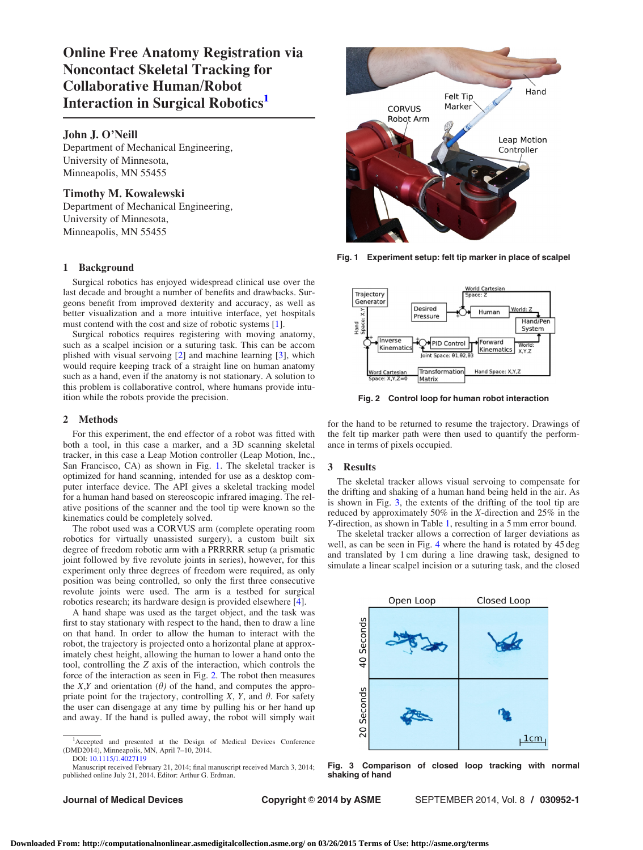Online Free Anatomy Registration via Noncontact Skeletal Tracking for Collaborative Human/Robot Interaction in Surgical Robotics<sup>1</sup>

### John J. O'Neill

Department of Mechanical Engineering, University of Minnesota, Minneapolis, MN 55455

## Timothy M. Kowalewski

Department of Mechanical Engineering, University of Minnesota, Minneapolis, MN 55455

# 1 Background

Surgical robotics has enjoyed widespread clinical use over the last decade and brought a number of benefits and drawbacks. Surgeons benefit from improved dexterity and accuracy, as well as better visualization and a more intuitive interface, yet hospitals must contend with the cost and size of robotic systems [[1](#page-1-0)].

Surgical robotics requires registering with moving anatomy, such as a scalpel incision or a suturing task. This can be accom plished with visual servoing [[2](#page-1-0)] and machine learning [\[3\]](#page-1-0), which would require keeping track of a straight line on human anatomy such as a hand, even if the anatomy is not stationary. A solution to this problem is collaborative control, where humans provide intuition while the robots provide the precision.

### 2 Methods

For this experiment, the end effector of a robot was fitted with both a tool, in this case a marker, and a 3D scanning skeletal tracker, in this case a Leap Motion controller (Leap Motion, Inc., San Francisco, CA) as shown in Fig. 1. The skeletal tracker is optimized for hand scanning, intended for use as a desktop computer interface device. The API gives a skeletal tracking model for a human hand based on stereoscopic infrared imaging. The relative positions of the scanner and the tool tip were known so the kinematics could be completely solved.

The robot used was a CORVUS arm (complete operating room robotics for virtually unassisted surgery), a custom built six degree of freedom robotic arm with a PRRRRR setup (a prismatic joint followed by five revolute joints in series), however, for this experiment only three degrees of freedom were required, as only position was being controlled, so only the first three consecutive revolute joints were used. The arm is a testbed for surgical robotics research; its hardware design is provided elsewhere [\[4\]](#page-1-0).

A hand shape was used as the target object, and the task was first to stay stationary with respect to the hand, then to draw a line on that hand. In order to allow the human to interact with the robot, the trajectory is projected onto a horizontal plane at approximately chest height, allowing the human to lower a hand onto the tool, controlling the Z axis of the interaction, which controls the force of the interaction as seen in Fig. 2. The robot then measures the X,Y and orientation  $(\theta)$  of the hand, and computes the appropriate point for the trajectory, controlling  $X$ ,  $Y$ , and  $\theta$ . For safety the user can disengage at any time by pulling his or her hand up and away. If the hand is pulled away, the robot will simply wait

Manuscript received February 21, 2014; final manuscript received March 3, 2014; published online July 21, 2014. Editor: Arthur G. Erdman.

Hand Felt Tip Marker **CORVUS** Robot Arm Leap Motion Controller

Fig. 1 Experiment setup: felt tip marker in place of scalpel



Fig. 2 Control loop for human robot interaction

for the hand to be returned to resume the trajectory. Drawings of the felt tip marker path were then used to quantify the performance in terms of pixels occupied.

#### 3 Results

The skeletal tracker allows visual servoing to compensate for the drifting and shaking of a human hand being held in the air. As is shown in Fig. 3, the extents of the drifting of the tool tip are reduced by approximately 50% in the X-direction and 25% in the Y-direction, as shown in Table [1,](#page-1-0) resulting in a 5 mm error bound.

The skeletal tracker allows a correction of larger deviations as well, as can be seen in Fig. [4](#page-1-0) where the hand is rotated by 45 deg and translated by 1 cm during a line drawing task, designed to simulate a linear scalpel incision or a suturing task, and the closed



Fig. 3 Comparison of closed loop tracking with normal shaking of hand

<sup>&</sup>lt;sup>1</sup>Accepted and presented at the Design of Medical Devices Conference (DMD2014), Minneapolis, MN, April 7–10, 2014. DOI: [10.1115/1.4027119](http://dx.doi.org/10.1115/1.4027119)